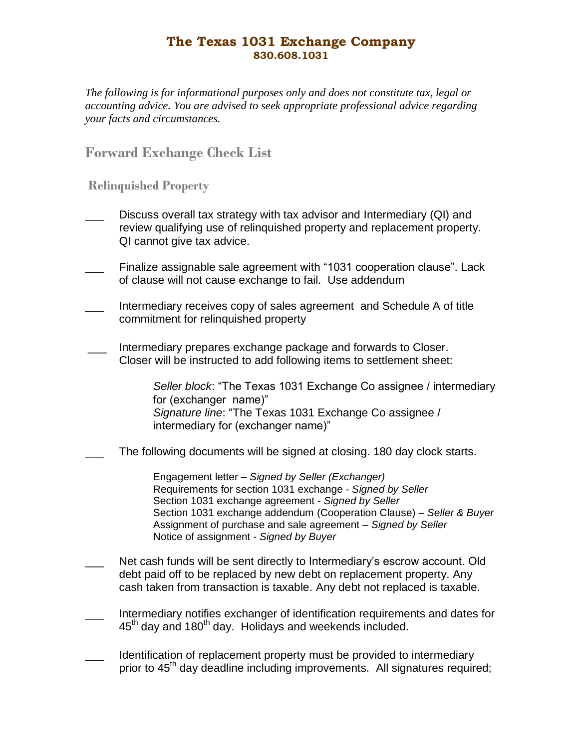## **The Texas 1031 Exchange Company 830.608.1031**

*The following is for informational purposes only and does not constitute tax, legal or accounting advice. You are advised to seek appropriate professional advice regarding your facts and circumstances.*

**Forward Exchange Check List**

**Relinquished Property**

- Discuss overall tax strategy with tax advisor and Intermediary (QI) and review qualifying use of relinquished property and replacement property. QI cannot give tax advice.
- Finalize assignable sale agreement with "1031 cooperation clause". Lack of clause will not cause exchange to fail. Use addendum
- \_\_\_ Intermediary receives copy of sales agreement and Schedule A of title commitment for relinquished property
- Intermediary prepares exchange package and forwards to Closer. Closer will be instructed to add following items to settlement sheet:

*Seller block*: "The Texas 1031 Exchange Co assignee / intermediary for (exchanger name)" *Signature line*: "The Texas 1031 Exchange Co assignee / intermediary for (exchanger name)"

The following documents will be signed at closing. 180 day clock starts.

Engagement letter – *Signed by Seller (Exchanger)* Requirements for section 1031 exchange - *Signed by Seller* Section 1031 exchange agreement - *Signed by Seller* Section 1031 exchange addendum (Cooperation Clause) – *Seller & Buyer* Assignment of purchase and sale agreement – *Signed by Seller* Notice of assignment - *Signed by Buyer*

- Net cash funds will be sent directly to Intermediary's escrow account. Old debt paid off to be replaced by new debt on replacement property. Any cash taken from transaction is taxable. Any debt not replaced is taxable.
- Intermediary notifies exchanger of identification requirements and dates for 45<sup>th</sup> day and 180<sup>th</sup> day. Holidays and weekends included.
- Identification of replacement property must be provided to intermediary prior to 45<sup>th</sup> day deadline including improvements. All signatures required;